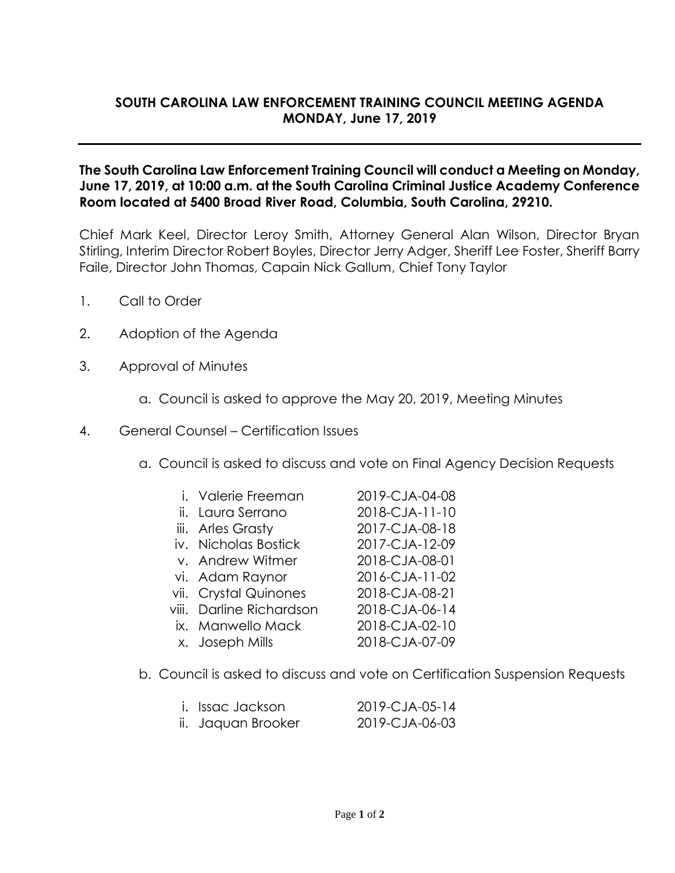## **SOUTH CAROLINA LAW ENFORCEMENT TRAINING COUNCIL MEETING AGENDA MONDAY, June 17, 2019**

## **The South Carolina Law Enforcement Training Council will conduct a Meeting on Monday, June 17, 2019, at 10:00 a.m. at the South Carolina Criminal Justice Academy Conference Room located at 5400 Broad River Road, Columbia, South Carolina, 29210.**

Chief Mark Keel, Director Leroy Smith, Attorney General Alan Wilson, Director Bryan Stirling, Interim Director Robert Boyles, Director Jerry Adger, Sheriff Lee Foster, Sheriff Barry Faile, Director John Thomas, Capain Nick Gallum, Chief Tony Taylor

- 1. Call to Order
- 2. Adoption of the Agenda
- 3. Approval of Minutes
	- a. Council is asked to approve the May 20, 2019, Meeting Minutes
- 4. General Counsel Certification Issues
	- a. Council is asked to discuss and vote on Final Agency Decision Requests
		- i. Valerie Freeman 2019-CJA-04-08
		- ii. Laura Serrano 2018-CJA-11-10
		- iii. Arles Grasty 2017-CJA-08-18
		- iv. Nicholas Bostick 2017-CJA-12-09
		- v. Andrew Witmer 2018-CJA-08-01
		- vi. Adam Raynor 2016-CJA-11-02
		- vii. Crystal Quinones 2018-CJA-08-21
		- viii. Darline Richardson 2018-CJA-06-14
		- ix. Manwello Mack 2018-CJA-02-10
		- x. Joseph Mills 2018-CJA-07-09

- 
- 
- 
- 
- 
- 
- b. Council is asked to discuss and vote on Certification Suspension Requests

| i. Issac Jackson   | 2019-CJA-05-14 |
|--------------------|----------------|
| ii. Jaquan Brooker | 2019-CJA-06-03 |